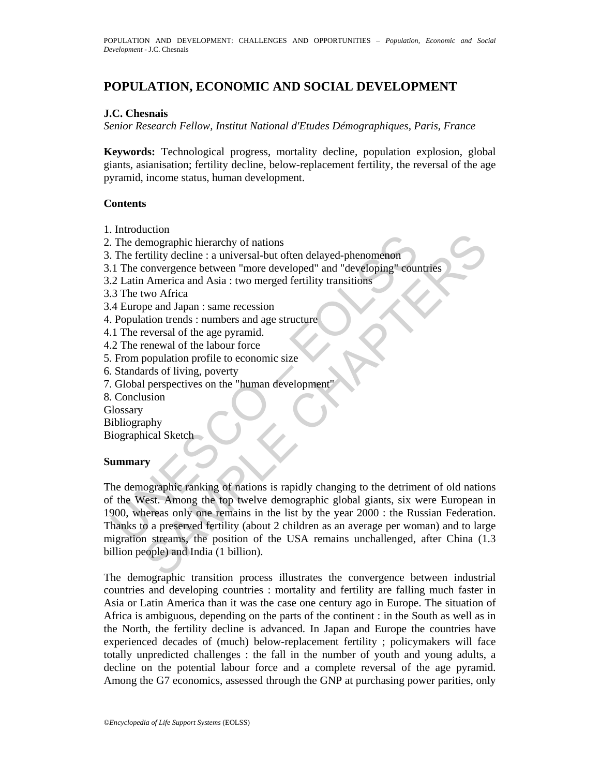# **POPULATION, ECONOMIC AND SOCIAL DEVELOPMENT**

#### **J.C. Chesnais**

*Senior Research Fellow, Institut National d'Etudes Démographiques, Paris, France* 

**Keywords:** Technological progress, mortality decline, population explosion, global giants, asianisation; fertility decline, below-replacement fertility, the reversal of the age pyramid, income status, human development.

#### **Contents**

- 1. Introduction
- 2. The demographic hierarchy of nations
- 3. The fertility decline : a universal-but often delayed-phenomenon
- 3.1 The convergence between "more developed" and "developing" countries
- 3.2 Latin America and Asia : two merged fertility transitions
- 3.3 The two Africa
- 3.4 Europe and Japan : same recession
- 4. Population trends : numbers and age structure
- 4.1 The reversal of the age pyramid.
- 4.2 The renewal of the labour force
- 5. From population profile to economic size
- 6. Standards of living, poverty
- 7. Global perspectives on the "human development"
- 8. Conclusion
- **Glossary**

Bibliography

Biographical Sketch

#### **Summary**

The demographic hierarchy of nations<br>
The demographic hierarchy of nations<br>
The fertility decline : a universal-but often delayed-phenomenon<br>
1 The convergence between "more developed" and "developing" cour<br>
2 Latin Americ Example in the control of nations<br>
imagraphic hierarchy of nations<br>
interpret between "more developed" and "developing" countries<br>
America and Asia : two merged fertility transitions<br>
wo Africa<br>
chapter and lapan : same re The demographic ranking of nations is rapidly changing to the detriment of old nations of the West. Among the top twelve demographic global giants, six were European in 1900, whereas only one remains in the list by the year 2000 : the Russian Federation. Thanks to a preserved fertility (about 2 children as an average per woman) and to large migration streams, the position of the USA remains unchallenged, after China (1.3 billion people) and India (1 billion).

The demographic transition process illustrates the convergence between industrial countries and developing countries : mortality and fertility are falling much faster in Asia or Latin America than it was the case one century ago in Europe. The situation of Africa is ambiguous, depending on the parts of the continent : in the South as well as in the North, the fertility decline is advanced. In Japan and Europe the countries have experienced decades of (much) below-replacement fertility ; policymakers will face totally unpredicted challenges : the fall in the number of youth and young adults, a decline on the potential labour force and a complete reversal of the age pyramid. Among the G7 economics, assessed through the GNP at purchasing power parities, only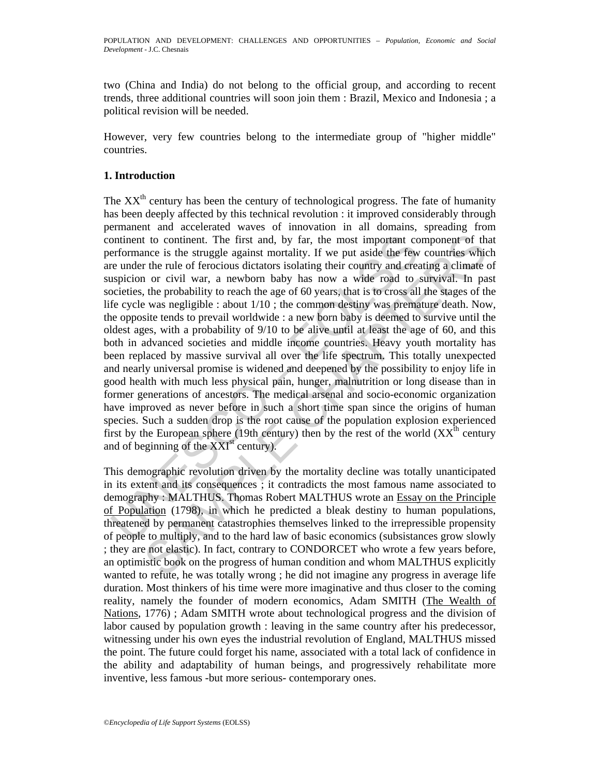two (China and India) do not belong to the official group, and according to recent trends, three additional countries will soon join them : Brazil, Mexico and Indonesia ; a political revision will be needed.

However, very few countries belong to the intermediate group of "higher middle" countries.

### **1. Introduction**

ontinent to continent. The first and, by far, the most important continent to continent. The first and, by far, the most important corre under the rule of ferocious dictators isolating their country and eres under the rule t to continent. The first and, by far, the most important component of the more is the struggle against mortality. If we put aside the few countries which are the rule of ferocious dictators isolating their cuntry and ere The  $XX<sup>th</sup>$  century has been the century of technological progress. The fate of humanity has been deeply affected by this technical revolution : it improved considerably through permanent and accelerated waves of innovation in all domains, spreading from continent to continent. The first and, by far, the most important component of that performance is the struggle against mortality. If we put aside the few countries which are under the rule of ferocious dictators isolating their country and creating a climate of suspicion or civil war, a newborn baby has now a wide road to survival. In past societies, the probability to reach the age of 60 years, that is to cross all the stages of the life cycle was negligible : about 1/10 ; the common destiny was premature death. Now, the opposite tends to prevail worldwide : a new born baby is deemed to survive until the oldest ages, with a probability of 9/10 to be alive until at least the age of 60, and this both in advanced societies and middle income countries. Heavy youth mortality has been replaced by massive survival all over the life spectrum. This totally unexpected and nearly universal promise is widened and deepened by the possibility to enjoy life in good health with much less physical pain, hunger, malnutrition or long disease than in former generations of ancestors. The medical arsenal and socio-economic organization have improved as never before in such a short time span since the origins of human species. Such a sudden drop is the root cause of the population explosion experienced first by the European sphere (19th century) then by the rest of the world  $(XX<sup>th</sup>$  century and of beginning of the  $XXI<sup>st</sup>$  century).

This demographic revolution driven by the mortality decline was totally unanticipated in its extent and its consequences ; it contradicts the most famous name associated to demography : MALTHUS. Thomas Robert MALTHUS wrote an Essay on the Principle of Population (1798), in which he predicted a bleak destiny to human populations, threatened by permanent catastrophies themselves linked to the irrepressible propensity of people to multiply, and to the hard law of basic economics (subsistances grow slowly ; they are not elastic). In fact, contrary to CONDORCET who wrote a few years before, an optimistic book on the progress of human condition and whom MALTHUS explicitly wanted to refute, he was totally wrong ; he did not imagine any progress in average life duration. Most thinkers of his time were more imaginative and thus closer to the coming reality, namely the founder of modern economics, Adam SMITH (The Wealth of Nations, 1776); Adam SMITH wrote about technological progress and the division of labor caused by population growth : leaving in the same country after his predecessor, witnessing under his own eyes the industrial revolution of England, MALTHUS missed the point. The future could forget his name, associated with a total lack of confidence in the ability and adaptability of human beings, and progressively rehabilitate more inventive, less famous -but more serious- contemporary ones.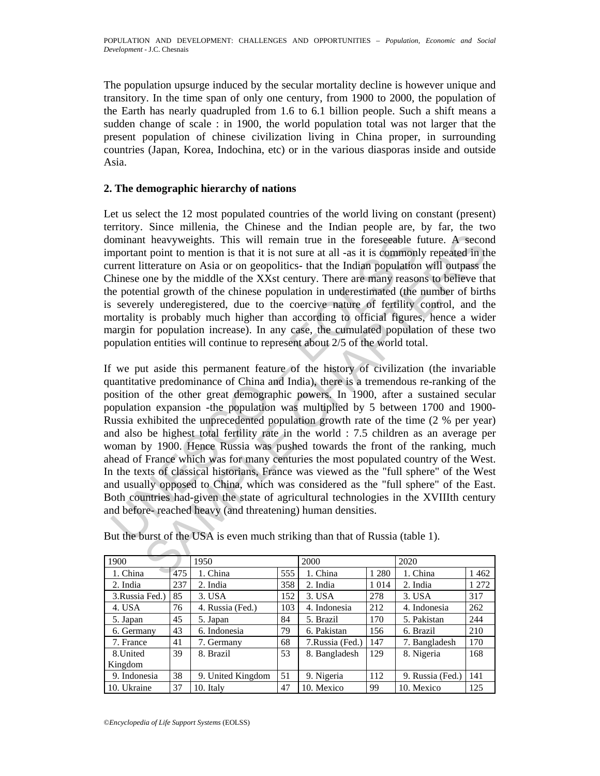The population upsurge induced by the secular mortality decline is however unique and transitory. In the time span of only one century, from 1900 to 2000, the population of the Earth has nearly quadrupled from 1.6 to 6.1 billion people. Such a shift means a sudden change of scale : in 1900, the world population total was not larger that the present population of chinese civilization living in China proper, in surrounding countries (Japan, Korea, Indochina, etc) or in the various diasporas inside and outside Asia.

#### **2. The demographic hierarchy of nations**

Let us select the 12 most populated countries of the world living on constant (present) territory. Since millenia, the Chinese and the Indian people are, by far, the two dominant heavyweights. This will remain true in the foreseeable future. A second important point to mention is that it is not sure at all -as it is commonly repeated in the current litterature on Asia or on geopolitics- that the Indian population will outpass the Chinese one by the middle of the XXst century. There are many reasons to believe that the potential growth of the chinese population in underestimated (the number of births is severely underegistered, due to the coercive nature of fertility control, and the mortality is probably much higher than according to official figures, hence a wider margin for population increase). In any case, the cumulated population of these two population entities will continue to represent about 2/5 of the world total.

ominant heavyweights. This will remain true in the foreseeable f<br>upportant point to mention is that it is not sure at all -as it is commonly<br>urrent literature on Asia or on geopolitics- that the Indian population<br>linnese o t heavyweights. This will remain true in the foreseeable future. A second point to mention is that it is not sure at all -as it is commonly repeated in the proposition centerior on Asia or on geopolitics that the Indian p If we put aside this permanent feature of the history of civilization (the invariable quantitative predominance of China and India), there is a tremendous re-ranking of the position of the other great demographic powers. In 1900, after a sustained secular population expansion -the population was multiplied by 5 between 1700 and 1900- Russia exhibited the unprecedented population growth rate of the time (2 % per year) and also be highest total fertility rate in the world : 7.5 children as an average per woman by 1900. Hence Russia was pushed towards the front of the ranking, much ahead of France which was for many centuries the most populated country of the West. In the texts of classical historians, France was viewed as the "full sphere" of the West and usually opposed to China, which was considered as the "full sphere" of the East. Both countries had-given the state of agricultural technologies in the XVIIIth century and before- reached heavy (and threatening) human densities.

| 1900            |     | 1950              |     | 2000            |         | 2020             |       |
|-----------------|-----|-------------------|-----|-----------------|---------|------------------|-------|
| 1. China        | 475 | 1. China          | 555 | 1. China        | 1 2 8 0 | 1. China         | 1462  |
| 2. India        | 237 | 2. India          | 358 | 2. India        | 1 0 1 4 | 2. India         | 1 272 |
| 3. Russia Fed.) | 85  | 3. USA            | 152 | 3. USA          | 278     | 3. USA           | 317   |
| 4. USA          | 76  | 4. Russia (Fed.)  | 103 | 4. Indonesia    | 212     | 4. Indonesia     | 262   |
| 5. Japan        | 45  | 5. Japan          | 84  | 5. Brazil       | 170     | 5. Pakistan      | 244   |
| 6. Germany      | 43  | 6. Indonesia      | 79  | 6. Pakistan     | 156     | 6. Brazil        | 210   |
| 7. France       | 41  | 7. Germany        | 68  | 7.Russia (Fed.) | 147     | 7. Bangladesh    | 170   |
| 8.United        | 39  | 8. Brazil         | 53  | 8. Bangladesh   | 129     | 8. Nigeria       | 168   |
| Kingdom         |     |                   |     |                 |         |                  |       |
| 9. Indonesia    | 38  | 9. United Kingdom | 51  | 9. Nigeria      | 112     | 9. Russia (Fed.) | 141   |
| 10. Ukraine     | 37  | 10. Italy         | 47  | 10. Mexico      | 99      | 10. Mexico       | 125   |

But the burst of the USA is even much striking than that of Russia (table 1).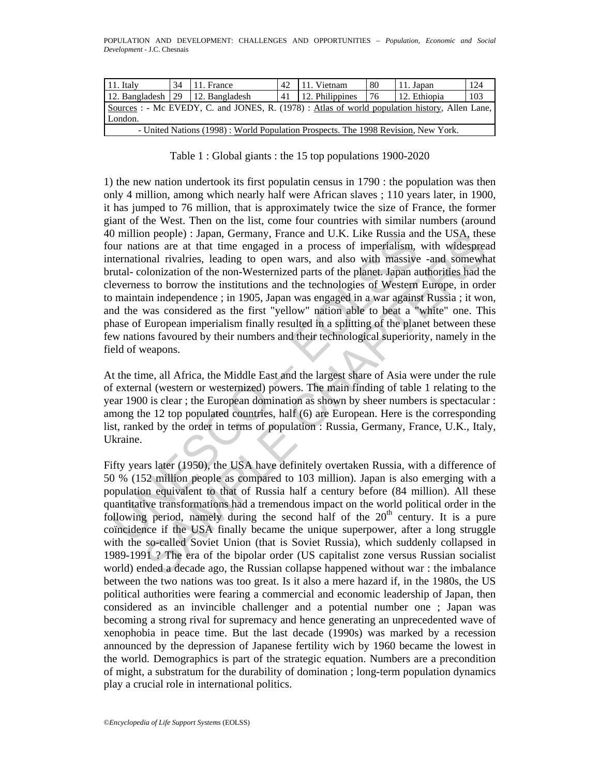| $11.$ Italy                                                                                    | 34 | $\vert$ 11. France                                                                | 42 | 11. Vietnam     | 80    | 11. Japan    | 124 |
|------------------------------------------------------------------------------------------------|----|-----------------------------------------------------------------------------------|----|-----------------|-------|--------------|-----|
| 12. Bangladesh $\vert$ 29 $\vert$ 12. Bangladesh                                               |    |                                                                                   | 41 | 12. Philippines | i 76. | 12. Ethiopia | 103 |
| Sources : - Mc EVEDY, C. and JONES, R. (1978) : Atlas of world population history, Allen Lane, |    |                                                                                   |    |                 |       |              |     |
| London.                                                                                        |    |                                                                                   |    |                 |       |              |     |
|                                                                                                |    | - United Nations (1998): World Population Prospects. The 1998 Revision, New York. |    |                 |       |              |     |

Table 1 : Global giants : the 15 top populations 1900-2020

munn people) : Japan, Germany, France and U.K. Like Kussia and<br>unr nations are at that time engaged in a process of imperfallism,<br>uternational rivalries, leading to open wars, and also with massive<br>trutal-colonization of t m people) : Japan, Germany, France and U.K. Like Kussaa and the USA, these and the USA chasses are at that time rangaged in a process of imperfalism, with widespreased rivalities, leading to open wars, and also with massiv 1) the new nation undertook its first populatin census in 1790 : the population was then only 4 million, among which nearly half were African slaves ; 110 years later, in 1900, it has jumped to 76 million, that is approximately twice the size of France, the former giant of the West. Then on the list, come four countries with similar numbers (around 40 million people) : Japan, Germany, France and U.K. Like Russia and the USA, these four nations are at that time engaged in a process of imperialism, with widespread international rivalries, leading to open wars, and also with massive -and somewhat brutal- colonization of the non-Westernized parts of the planet. Japan authorities had the cleverness to borrow the institutions and the technologies of Western Europe, in order to maintain independence ; in 1905, Japan was engaged in a war against Russia ; it won, and the was considered as the first "yellow" nation able to beat a "white" one. This phase of European imperialism finally resulted in a splitting of the planet between these few nations favoured by their numbers and their technological superiority, namely in the field of weapons.

At the time, all Africa, the Middle East and the largest share of Asia were under the rule of external (western or westernized) powers. The main finding of table 1 relating to the year 1900 is clear ; the European domination as shown by sheer numbers is spectacular : among the 12 top populated countries, half (6) are European. Here is the corresponding list, ranked by the order in terms of population : Russia, Germany, France, U.K., Italy, Ukraine.

Fifty years later (1950), the USA have definitely overtaken Russia, with a difference of 50 % (152 million people as compared to 103 million). Japan is also emerging with a population equivalent to that of Russia half a century before (84 million). All these quantitative transformations had a tremendous impact on the world political order in the following period, namely during the second half of the  $20<sup>th</sup>$  century. It is a pure coïncidence if the USA finally became the unique superpower, after a long struggle with the so-called Soviet Union (that is Soviet Russia), which suddenly collapsed in 1989-1991 ? The era of the bipolar order (US capitalist zone versus Russian socialist world) ended a decade ago, the Russian collapse happened without war : the imbalance between the two nations was too great. Is it also a mere hazard if, in the 1980s, the US political authorities were fearing a commercial and economic leadership of Japan, then considered as an invincible challenger and a potential number one ; Japan was becoming a strong rival for supremacy and hence generating an unprecedented wave of xenophobia in peace time. But the last decade (1990s) was marked by a recession announced by the depression of Japanese fertility wich by 1960 became the lowest in the world. Demographics is part of the strategic equation. Numbers are a precondition of might, a substratum for the durability of domination ; long-term population dynamics play a crucial role in international politics.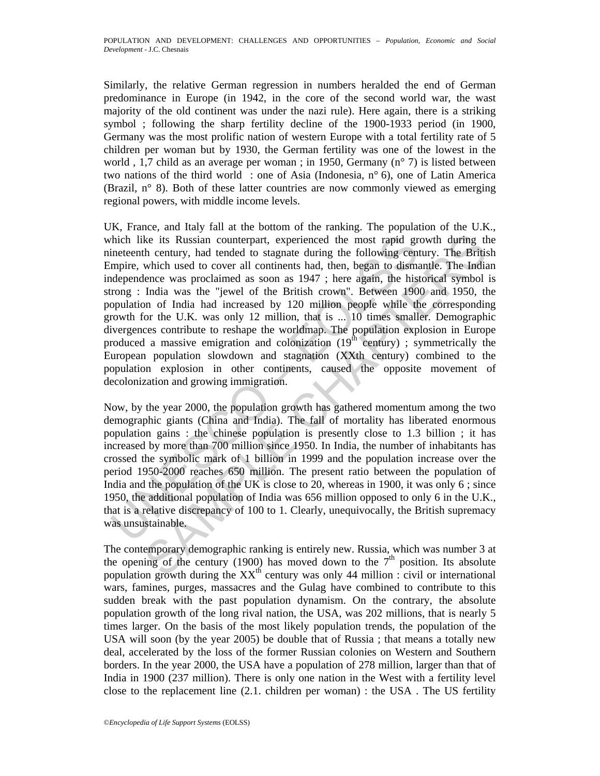Similarly, the relative German regression in numbers heralded the end of German predominance in Europe (in 1942, in the core of the second world war, the wast majority of the old continent was under the nazi rule). Here again, there is a striking symbol ; following the sharp fertility decline of the 1900-1933 period (in 1900, Germany was the most prolific nation of western Europe with a total fertility rate of 5 children per woman but by 1930, the German fertility was one of the lowest in the world , 1,7 child as an average per woman ; in 1950, Germany (n° 7) is listed between two nations of the third world : one of Asia (Indonesia, n° 6), one of Latin America (Brazil, n° 8). Both of these latter countries are now commonly viewed as emerging regional powers, with middle income levels.

thich like its Russian counterpart, experienced the most rapid grimeteenth century, had tended to stagnate during the following centifies which used to cover all continents had, then, began to dismended pendenence was pro ke its Russian counterpart, experienced the most rapid growth during th<br>h century, had tended to stagnate during the following century. The Britis<br>which used to cover all continents had, then, began to dismantle. The Indi UK, France, and Italy fall at the bottom of the ranking. The population of the U.K., which like its Russian counterpart, experienced the most rapid growth during the nineteenth century, had tended to stagnate during the following century. The British Empire, which used to cover all continents had, then, began to dismantle. The Indian independence was proclaimed as soon as 1947 ; here again, the historical symbol is strong : India was the "jewel of the British crown". Between 1900 and 1950, the population of India had increased by 120 million people while the corresponding growth for the U.K. was only 12 million, that is ... 10 times smaller. Demographic divergences contribute to reshape the worldmap. The population explosion in Europe produced a massive emigration and colonization  $(19<sup>th</sup>$  century) ; symmetrically the European population slowdown and stagnation (XXth century) combined to the population explosion in other continents, caused the opposite movement of decolonization and growing immigration.

Now, by the year 2000, the population growth has gathered momentum among the two demographic giants (China and India). The fall of mortality has liberated enormous population gains : the chinese population is presently close to 1.3 billion ; it has increased by more than 700 million since 1950. In India, the number of inhabitants has crossed the symbolic mark of 1 billion in 1999 and the population increase over the period 1950-2000 reaches 650 million. The present ratio between the population of India and the population of the UK is close to 20, whereas in 1900, it was only 6 ; since 1950, the additional population of India was 656 million opposed to only 6 in the U.K., that is a relative discrepancy of 100 to 1. Clearly, unequivocally, the British supremacy was unsustainable.

The contemporary demographic ranking is entirely new. Russia, which was number 3 at the opening of the century (1900) has moved down to the  $7<sup>th</sup>$  position. Its absolute population growth during the  $XX<sup>th</sup>$  century was only 44 million : civil or international wars, famines, purges, massacres and the Gulag have combined to contribute to this sudden break with the past population dynamism. On the contrary, the absolute population growth of the long rival nation, the USA, was 202 millions, that is nearly 5 times larger. On the basis of the most likely population trends, the population of the USA will soon (by the year 2005) be double that of Russia ; that means a totally new deal, accelerated by the loss of the former Russian colonies on Western and Southern borders. In the year 2000, the USA have a population of 278 million, larger than that of India in 1900 (237 million). There is only one nation in the West with a fertility level close to the replacement line (2.1. children per woman) : the USA . The US fertility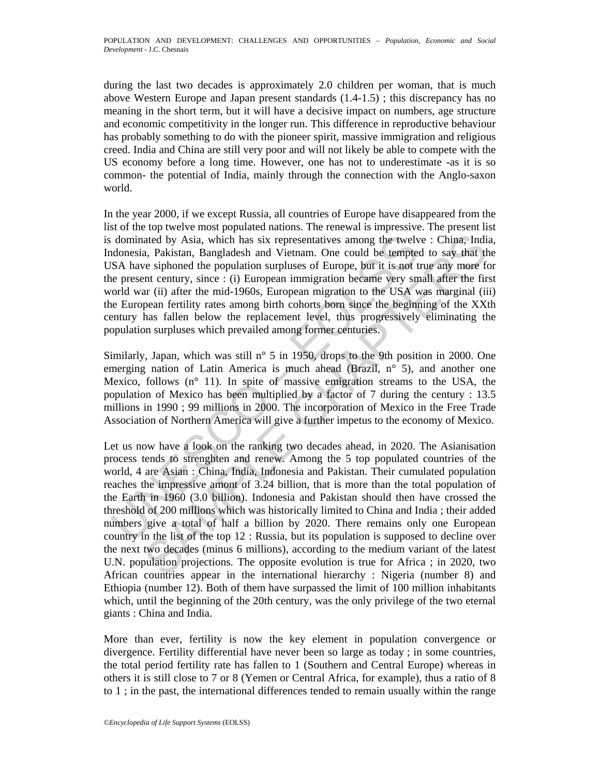during the last two decades is approximately 2.0 children per woman, that is much above Western Europe and Japan present standards (1.4-1.5) ; this discrepancy has no meaning in the short term, but it will have a decisive impact on numbers, age structure and economic competitivity in the longer run. This difference in reproductive behaviour has probably something to do with the pioneer spirit, massive immigration and religious creed. India and China are still very poor and will not likely be able to compete with the US economy before a long time. However, one has not to underestimate -as it is so common- the potential of India, mainly through the connection with the Anglo-saxon world.

In the year 2000, if we except Russia, all countries of Europe have disappeared from the list of the top twelve most populated nations. The renewal is impressive. The present list is dominated by Asia, which has six representatives among the twelve : China, India, Indonesia, Pakistan, Bangladesh and Vietnam. One could be tempted to say that the USA have siphoned the population surpluses of Europe, but it is not true any more for the present century, since : (i) European immigration became very small after the first world war (ii) after the mid-1960s, European migration to the USA was marginal (iii) the European fertility rates among birth cohorts born since the beginning of the XXth century has fallen below the replacement level, thus progressively eliminating the population surpluses which prevailed among former centuries.

Similarly, Japan, which was still n° 5 in 1950, drops to the 9th position in 2000. One emerging nation of Latin America is much ahead (Brazil, n° 5), and another one Mexico, follows (n° 11). In spite of massive emigration streams to the USA, the population of Mexico has been multiplied by a factor of 7 during the century : 13.5 millions in 1990 ; 99 millions in 2000. The incorporation of Mexico in the Free Trade Association of Northern America will give a further impetus to the economy of Mexico.

dominated by Asia, which has six representatives among the twelv<br>donesia, Pakistan, Bangladesh and Vietnam. One could be tempte<br>SA have siphoned the population surpluses of Europe, but it is not<br>be represent century, sinc ated by Asia, which has six representatives among the twelve : China, India, Pakistan, Bangladesh and Vietnam. One could be tempted to say that the population suppluses of Europe, but it is not true any more is sighoned t Let us now have a look on the ranking two decades ahead, in 2020. The Asianisation process tends to strenghten and renew. Among the 5 top populated countries of the world, 4 are Asian : China, India, Indonesia and Pakistan. Their cumulated population reaches the impressive amont of 3.24 billion, that is more than the total population of the Earth in 1960 (3.0 billion). Indonesia and Pakistan should then have crossed the threshold of 200 millions which was historically limited to China and India ; their added numbers give a total of half a billion by 2020. There remains only one European country in the list of the top 12 : Russia, but its population is supposed to decline over the next two decades (minus 6 millions), according to the medium variant of the latest U.N. population projections. The opposite evolution is true for Africa ; in 2020, two African countries appear in the international hierarchy : Nigeria (number 8) and Ethiopia (number 12). Both of them have surpassed the limit of 100 million inhabitants which, until the beginning of the 20th century, was the only privilege of the two eternal giants : China and India.

More than ever, fertility is now the key element in population convergence or divergence. Fertility differential have never been so large as today ; in some countries, the total period fertility rate has fallen to 1 (Southern and Central Europe) whereas in others it is still close to 7 or 8 (Yemen or Central Africa, for example), thus a ratio of 8 to 1 ; in the past, the international differences tended to remain usually within the range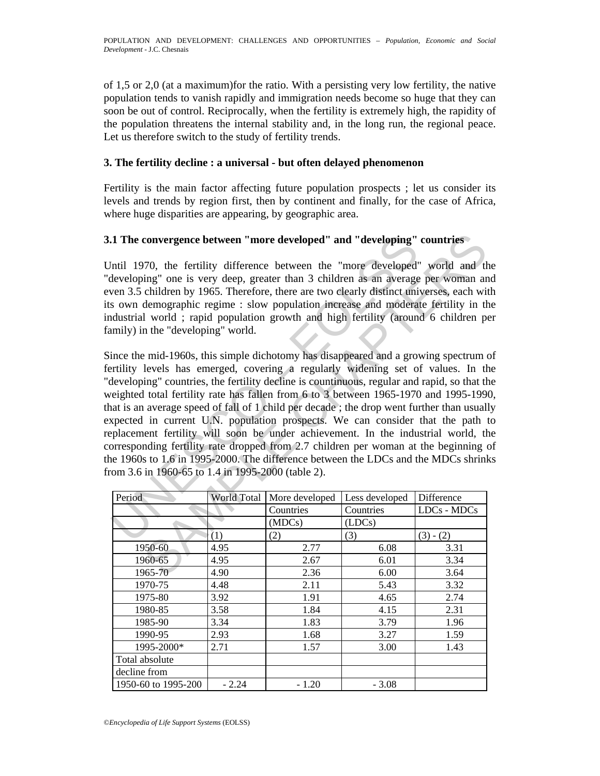of 1,5 or 2,0 (at a maximum)for the ratio. With a persisting very low fertility, the native population tends to vanish rapidly and immigration needs become so huge that they can soon be out of control. Reciprocally, when the fertility is extremely high, the rapidity of the population threatens the internal stability and, in the long run, the regional peace. Let us therefore switch to the study of fertility trends.

### **3. The fertility decline : a universal - but often delayed phenomenon**

Fertility is the main factor affecting future population prospects ; let us consider its levels and trends by region first, then by continent and finally, for the case of Africa, where huge disparities are appearing, by geographic area.

## **3.1 The convergence between "more developed" and "developing" countries**

Until 1970, the fertility difference between the "more developed" world and the "developing" one is very deep, greater than 3 children as an average per woman and even 3.5 children by 1965. Therefore, there are two clearly distinct universes, each with its own demographic regime : slow population increase and moderate fertility in the industrial world ; rapid population growth and high fertility (around 6 children per family) in the "developing" world.

**1. The convergence between "more developed" and "developing"**<br>
finil 1970, the fertility difference between the "more developed"<br>
developing" one is very deep, greater than 3 children as an average<br>
even 3.5 children by convergence between "more developed" and "developing" countries<br>70, the fertility difference between the "more developed" world and thing" one is very deep, greater than 3 children as an average per woman an children by 1 Since the mid-1960s, this simple dichotomy has disappeared and a growing spectrum of fertility levels has emerged, covering a regularly widening set of values. In the "developing" countries, the fertility decline is countinuous, regular and rapid, so that the weighted total fertility rate has fallen from 6 to 3 between 1965-1970 and 1995-1990, that is an average speed of fall of 1 child per decade ; the drop went further than usually expected in current U.N. population prospects. We can consider that the path to replacement fertility will soon be under achievement. In the industrial world, the corresponding fertility rate dropped from 2.7 children per woman at the beginning of the 1960s to 1.6 in 1995-2000. The difference between the LDCs and the MDCs shrinks from 3.6 in 1960-65 to 1.4 in 1995-2000 (table 2).

| Period              | World Total | More developed | Less developed | Difference    |
|---------------------|-------------|----------------|----------------|---------------|
|                     |             | Countries      | Countries      | $LDCs - MDCs$ |
|                     |             | (MDCs)         | (LDCs)         |               |
|                     | (1)         | (2)            | (3)            | $(3) - (2)$   |
| 1950-60             | 4.95        | 2.77           | 6.08           | 3.31          |
| 1960-65             | 4.95        | 2.67           | 6.01           | 3.34          |
| 1965-70             | 4.90        | 2.36           | 6.00           | 3.64          |
| 1970-75             | 4.48        | 2.11           | 5.43           | 3.32          |
| 1975-80             | 3.92        | 1.91           | 4.65           | 2.74          |
| 1980-85             | 3.58        | 1.84           | 4.15           | 2.31          |
| 1985-90             | 3.34        | 1.83           | 3.79           | 1.96          |
| 1990-95             | 2.93        | 1.68           | 3.27           | 1.59          |
| 1995-2000*          | 2.71        | 1.57           | 3.00           | 1.43          |
| Total absolute      |             |                |                |               |
| decline from        |             |                |                |               |
| 1950-60 to 1995-200 | $-2.24$     | $-1.20$        | $-3.08$        |               |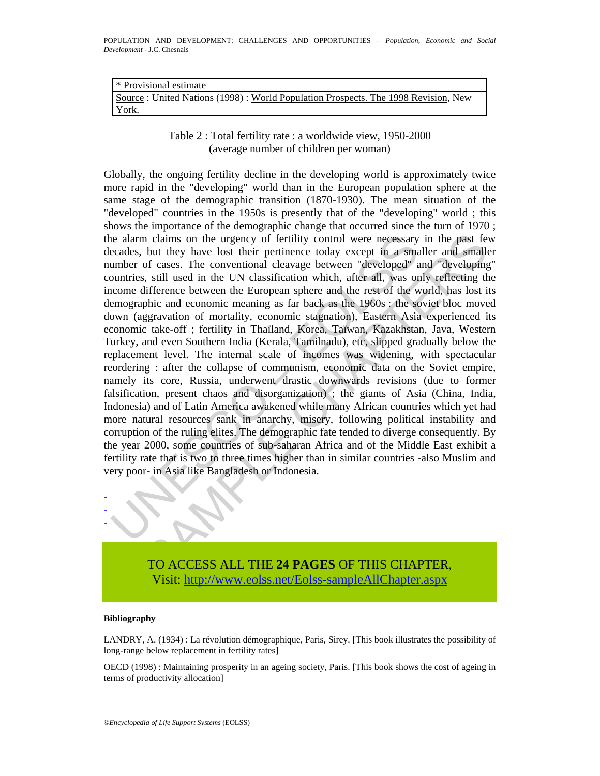| Ⅰ * Provisional estimate                                                            |
|-------------------------------------------------------------------------------------|
| Source : United Nations (1998) : World Population Prospects. The 1998 Revision, New |
| York.                                                                               |

Table 2 : Total fertility rate : a worldwide view, 1950-2000 (average number of children per woman)

ie alarm claims on the urgency of fertility control were necessary<br>ccades, but they have lost their pertinence today except in a small<br>umber of cases. The conventional cleavage between "developed" a<br>uountries, still used i n claims on the urgency of fertility control were necessary in the past fe<br>but they have lost their pertinence today except in a smaller and smaller<br>of cases. The conventional cleavage between "developed" and "developing<br>i Globally, the ongoing fertility decline in the developing world is approximately twice more rapid in the "developing" world than in the European population sphere at the same stage of the demographic transition (1870-1930). The mean situation of the "developed" countries in the 1950s is presently that of the "developing" world ; this shows the importance of the demographic change that occurred since the turn of 1970 ; the alarm claims on the urgency of fertility control were necessary in the past few decades, but they have lost their pertinence today except in a smaller and smaller number of cases. The conventional cleavage between "developed" and "developing" countries, still used in the UN classification which, after all, was only reflecting the income difference between the European sphere and the rest of the world, has lost its demographic and economic meaning as far back as the 1960s : the soviet bloc moved down (aggravation of mortality, economic stagnation), Eastern Asia experienced its economic take-off ; fertility in Thaïland, Korea, Taïwan, Kazakhstan, Java, Western Turkey, and even Southern India (Kerala, Tamilnadu), etc, slipped gradually below the replacement level. The internal scale of incomes was widening, with spectacular reordering : after the collapse of communism, economic data on the Soviet empire, namely its core, Russia, underwent drastic downwards revisions (due to former falsification, present chaos and disorganization) ; the giants of Asia (China, India, Indonesia) and of Latin America awakened while many African countries which yet had more natural resources sank in anarchy, misery, following political instability and corruption of the ruling elites. The demographic fate tended to diverge consequently. By the year 2000, some countries of sub-saharan Africa and of the Middle East exhibit a fertility rate that is two to three times higher than in similar countries -also Muslim and very poor- in Asia like Bangladesh or Indonesia.



TO ACCESS ALL THE **24 PAGES** OF THIS CHAPTER, Visi[t: http://www.eolss.net/Eolss-sampleAllChapter.aspx](https://www.eolss.net/ebooklib/sc_cart.aspx?File=E1-13-02)

#### **Bibliography**

LANDRY, A. (1934) : La révolution démographique, Paris, Sirey. [This book illustrates the possibility of long-range below replacement in fertility rates]

OECD (1998) : Maintaining prosperity in an ageing society, Paris. [This book shows the cost of ageing in terms of productivity allocation]